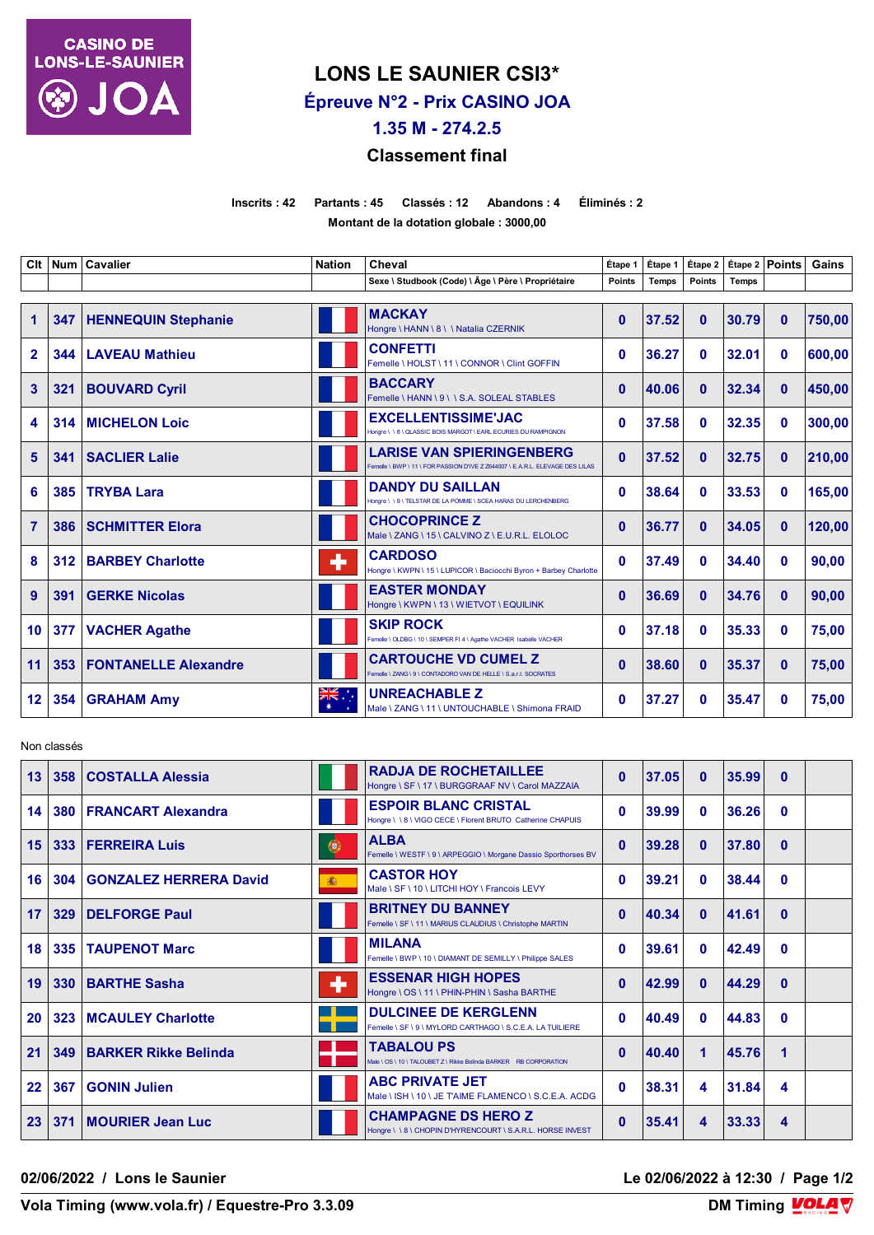

# **LONS LE SAUNIER CSI3\* Épreuve N°2 - Prix CASINO JOA**

**1.35 M - 274.2.5**

## **Classement final**

**Inscrits : 42 Partants : 45 Classés : 12 Abandons : 4 Éliminés : 2 Montant de la dotation globale : 3000,00**

| Clt            | <b>Num</b> | <b>Cavalier</b>             | <b>Nation</b> | Cheval                                                                                                            | Étape 1       | Étape 1 | Étape 2       | Étape 2 Points |              | Gains  |
|----------------|------------|-----------------------------|---------------|-------------------------------------------------------------------------------------------------------------------|---------------|---------|---------------|----------------|--------------|--------|
|                |            |                             |               | Sexe \ Studbook (Code) \ Âge \ Père \ Propriétaire                                                                | <b>Points</b> | Temps   | <b>Points</b> | Temps          |              |        |
| 1              | 347        | <b>HENNEQUIN Stephanie</b>  |               | <b>MACKAY</b><br>Hongre \ HANN \ 8 \ \ Natalia CZERNIK                                                            | $\mathbf{0}$  | 37.52   | $\mathbf{0}$  | 30.79          | $\mathbf{0}$ | 750,00 |
| $\overline{2}$ | 344        | <b>LAVEAU Mathieu</b>       |               | <b>CONFETTI</b><br>Femelle \ HOLST \ 11 \ CONNOR \ Clint GOFFIN                                                   | $\mathbf{0}$  | 36.27   | $\mathbf{0}$  | 32.01          | 0            | 600,00 |
| 3              | 321        | <b>BOUVARD Cyril</b>        |               | <b>BACCARY</b><br>Femelle \HANN \ 9 \ \ S.A. SOLEAL STABLES                                                       | $\mathbf{0}$  | 40.06   | $\mathbf{0}$  | 32.34          | $\mathbf{0}$ | 450.00 |
| 4              | 314        | <b>MICHELON Loic</b>        |               | <b>EXCELLENTISSIME'JAC</b><br>Hongre \\\8\QLASSIC BOIS MARGOT\EARL ECURIES DU RAMPIGNON                           | 0             | 37.58   | $\mathbf{0}$  | 32.35          | 0            | 300,00 |
| 5              | 341        | <b>SACLIER Lalie</b>        |               | <b>LARISE VAN SPIERINGENBERG</b><br>Femelle \ BWP \ 11 \ FOR PASSION D'IVE Z Z644007 \ E.A.R.L. ELEVAGE DES LILAS | $\mathbf{0}$  | 37.52   | $\mathbf{0}$  | 32.75          | $\mathbf{0}$ | 210,00 |
| 6              | 385        | <b>TRYBA Lara</b>           |               | <b>DANDY DU SAILLAN</b><br>Hongre \\9\TELSTAR DE LA POMME \SCEA HARAS DU LERCHENBERG                              | $\mathbf{0}$  | 38.64   | 0             | 33.53          | 0            | 165,00 |
| $\overline{7}$ | 386        | <b>SCHMITTER Elora</b>      |               | <b>CHOCOPRINCE Z</b><br>Male \ ZANG \ 15 \ CALVINO Z \ E.U.R.L. ELOLOC                                            | $\mathbf{0}$  | 36.77   | $\mathbf{0}$  | 34.05          | $\bf{0}$     | 120,00 |
| 8              | 312        | <b>BARBEY Charlotte</b>     | ٠             | <b>CARDOSO</b><br>Hongre \ KWPN \ 15 \ LUPICOR \ Baciocchi Byron + Barbey Charlotte                               | $\mathbf{0}$  | 37.49   | 0             | 34.40          | 0            | 90.00  |
| 9              | 391        | <b>GERKE Nicolas</b>        |               | <b>EASTER MONDAY</b><br>Hongre \ KWPN \ 13 \ WIETVOT \ EQUILINK                                                   | $\mathbf{0}$  | 36.69   | $\mathbf{0}$  | 34.76          | $\bf{0}$     | 90.00  |
| 10             | 377        | <b>VACHER Agathe</b>        |               | <b>SKIP ROCK</b><br>Femelle \ OLDBG \ 10 \ SEMPER FI 4 \ Agathe VACHER Isabelle VACHER                            | 0             | 37.18   | $\mathbf{0}$  | 35.33          | 0            | 75,00  |
| 11             | 353        | <b>FONTANELLE Alexandre</b> |               | <b>CARTOUCHE VD CUMEL Z</b><br>Femelle \ ZANG \ 9 \ CONTADORO VAN DE HELLE \ S.a.r.l. SOCRATES                    | $\mathbf{0}$  | 38.60   | 0             | 35.37          | $\mathbf{0}$ | 75,00  |
| 12             | 354        | <b>GRAHAM Amy</b>           | ÷, ≫k<br>∗    | <b>UNREACHABLE Z</b><br>Male \ ZANG \ 11 \ UNTOUCHABLE \ Shimona FRAID                                            | 0             | 37.27   | 0             | 35.47          | 0            | 75,00  |

Non classés

| 13 | 358 | <b>COSTALLA Alessia</b>       |   | <b>RADJA DE ROCHETAILLEE</b><br>Hongre \ SF \ 17 \ BURGGRAAF NV \ Carol MAZZAIA           | $\bf{0}$     | 37.05 | $\mathbf{0}$ | 35.99 | $\Omega$     |  |
|----|-----|-------------------------------|---|-------------------------------------------------------------------------------------------|--------------|-------|--------------|-------|--------------|--|
| 14 |     | 380   FRANCART Alexandra      |   | <b>ESPOIR BLANC CRISTAL</b><br>Hongre \ \ 8 \ VIGO CECE \ Florent BRUTO Catherine CHAPUIS | 0            | 39.99 | $\mathbf{0}$ | 36.26 | $\Omega$     |  |
| 15 | 333 | <b>FERREIRA Luis</b>          | Q | <b>ALBA</b><br>Femelle \ WESTF \ 9 \ ARPEGGIO \ Morgane Dassio Sporthorses BV             | $\bf{0}$     | 39.28 | $\mathbf{0}$ | 37.80 | $\Omega$     |  |
| 16 | 304 | <b>GONZALEZ HERRERA David</b> | 高 | <b>CASTOR HOY</b><br>Male \ SF \ 10 \ LITCHI HOY \ Francois LEVY                          | $\bf{0}$     | 39.21 | $\mathbf{0}$ | 38.44 | $\Omega$     |  |
| 17 | 329 | <b>DELFORGE Paul</b>          |   | <b>BRITNEY DU BANNEY</b><br>Femelle \ SF \ 11 \ MARIUS CLAUDIUS \ Christophe MARTIN       | $\bf{0}$     | 40.34 | $\mathbf{0}$ | 41.61 | $\mathbf{0}$ |  |
| 18 |     | 335   TAUPENOT Marc           |   | <b>MILANA</b><br>Femelle \ BWP \ 10 \ DIAMANT DE SEMILLY \ Philippe SALES                 | $\bf{0}$     | 39.61 | $\mathbf{0}$ | 42.49 | $\Omega$     |  |
| 19 | 330 | <b>BARTHE Sasha</b>           | ٠ | <b>ESSENAR HIGH HOPES</b><br>Hongre \ OS \ 11 \ PHIN-PHIN \ Sasha BARTHE                  | $\bf{0}$     | 42.99 | $\mathbf{0}$ | 44.29 | $\mathbf{0}$ |  |
| 20 | 323 | <b>MCAULEY Charlotte</b>      |   | <b>DULCINEE DE KERGLENN</b><br>Femelle \ SF \ 9 \ MYLORD CARTHAGO \ S.C.E.A. LA TUILIERE  | 0            | 40.49 | $\mathbf{0}$ | 44.83 | $\Omega$     |  |
| 21 | 349 | <b>BARKER Rikke Belinda</b>   |   | <b>TABALOU PS</b><br>Male \ OS \ 10 \ TALOUBET Z \ Rikke Belinda BARKER RB CORPORATION    | $\bf{0}$     | 40.40 | 1            | 45.76 | 1            |  |
| 22 | 367 | <b>GONIN Julien</b>           |   | <b>ABC PRIVATE JET</b><br>Male \ ISH \ 10 \ JE TAIME FLAMENCO \ S.C.E.A. ACDG             | $\mathbf{0}$ | 38.31 | 4            | 31.84 | 4            |  |
| 23 | 371 | <b>MOURIER Jean Luc</b>       |   | <b>CHAMPAGNE DS HERO Z</b><br>Hongre \\8\CHOPIN D'HYRENCOURT\S.A.R.L. HORSE INVEST        | 0            | 35.41 | 4            | 33.33 | 4            |  |

**02/06/2022 / Lons le Saunier Le 02/06/2022 à 12:30 / Page 1/2**

**Vola Timing (www.vola.fr) / Equestre-Pro 3.3.09** 

DM Timing **VOLA**